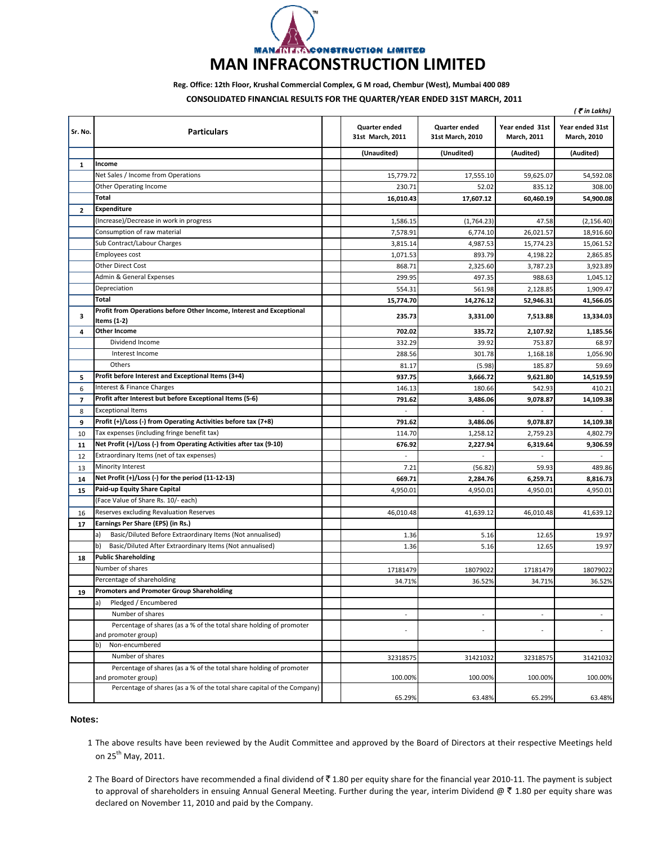

## **Reg. Office: 12th Floor, Krushal Commercial Complex, G M road, Chembur (West), Mumbai 400 089**

**CONSOLIDATED FINANCIAL RESULTS FOR THE QUARTER/YEAR ENDED 31ST MARCH 2011 MARCH,**

|                |                                                                                            | ( ₹ in Lakhs)                     |                                          |                                |                                       |  |
|----------------|--------------------------------------------------------------------------------------------|-----------------------------------|------------------------------------------|--------------------------------|---------------------------------------|--|
| Sr. No.        | <b>Particulars</b>                                                                         | Quarter ended<br>31st March, 2011 | <b>Quarter ended</b><br>31st March, 2010 | Year ended 31st<br>March, 2011 | Year ended 31st<br><b>March, 2010</b> |  |
|                |                                                                                            | (Unaudited)                       | (Unudited)                               | (Audited)                      | (Audited)                             |  |
| $\mathbf{1}$   | Income                                                                                     |                                   |                                          |                                |                                       |  |
|                | Net Sales / Income from Operations                                                         | 15,779.72                         | 17,555.10                                | 59,625.07                      | 54,592.08                             |  |
|                | <b>Other Operating Income</b>                                                              | 230.7                             | 52.0                                     | 835.12                         | 308.00                                |  |
|                | <b>Total</b>                                                                               | 16,010.43                         | 17,607.12                                | 60,460.19                      | 54,900.08                             |  |
| $\mathbf{2}$   | <b>Expenditure</b>                                                                         |                                   |                                          |                                |                                       |  |
|                | (Increase)/Decrease in work in progress                                                    | 1,586.15                          | (1,764.23)                               | 47.58                          | (2, 156.40)                           |  |
|                | Consumption of raw material                                                                | 7,578.91                          | 6,774.10                                 | 26,021.57                      | 18,916.60                             |  |
|                | Sub Contract/Labour Charges                                                                | 3,815.14                          | 4,987.53                                 | 15,774.23                      | 15,061.52                             |  |
|                | Employees cost                                                                             | 1,071.53                          | 893.79                                   | 4,198.22                       | 2,865.85                              |  |
|                | Other Direct Cost                                                                          | 868.71                            | 2,325.60                                 | 3,787.23                       | 3,923.89                              |  |
|                | Admin & General Expenses                                                                   | 299.95                            | 497.35                                   | 988.63                         | 1,045.12                              |  |
|                | Depreciation                                                                               | 554.31                            | 561.98                                   | 2,128.85                       | 1,909.47                              |  |
|                | Total                                                                                      | 15,774.70                         | 14,276.12                                | 52,946.31                      | 41,566.05                             |  |
| з              | Profit from Operations before Other Income, Interest and Exceptional<br>Items (1-2)        | 235.73                            | 3,331.00                                 | 7,513.88                       | 13,334.03                             |  |
| 4              | <b>Other Income</b>                                                                        | 702.02                            | 335.72                                   | 2,107.92                       | 1.185.56                              |  |
|                | Dividend Income                                                                            | 332.29                            | 39.92                                    | 753.87                         | 68.97                                 |  |
|                | Interest Income                                                                            | 288.56                            | 301.78                                   | 1,168.18                       | 1,056.90                              |  |
|                | Others                                                                                     | 81.17                             | (5.98)                                   | 185.87                         | 59.69                                 |  |
| 5              | Profit before Interest and Exceptional Items (3+4)                                         | 937.75                            | 3,666.72                                 | 9,621.80                       | 14,519.59                             |  |
| 6              | Interest & Finance Charges                                                                 | 146.13                            | 180.66                                   | 542.93                         | 410.21                                |  |
| $\overline{7}$ | Profit after Interest but before Exceptional Items (5-6)                                   | 791.62                            | 3,486.06                                 | 9,078.87                       | 14,109.38                             |  |
| 8              | <b>Exceptional Items</b>                                                                   |                                   |                                          |                                |                                       |  |
| 9              | Profit (+)/Loss (-) from Operating Activities before tax (7+8)                             | 791.62                            | 3,486.06                                 | 9,078.87                       | 14,109.38                             |  |
| 10             | Tax expenses (including fringe benefit tax)                                                | 114.70                            | 1,258.12                                 | 2,759.23                       | 4,802.79                              |  |
| 11             | Net Profit (+)/Loss (-) from Operating Activities after tax (9-10)                         | 676.92                            | 2,227.94                                 | 6,319.64                       | 9,306.59                              |  |
| 12             | Extraordinary Items (net of tax expenses)                                                  |                                   |                                          |                                |                                       |  |
| 13             | <b>Minority Interest</b>                                                                   | 7.21                              | (56.82)                                  | 59.93                          | 489.86                                |  |
| 14             | Net Profit (+)/Loss (-) for the period (11-12-13)                                          | 669.71                            | 2,284.76                                 | 6,259.71                       | 8,816.73                              |  |
| 15             | Paid-up Equity Share Capital                                                               | 4,950.01                          | 4,950.01                                 | 4,950.01                       | 4,950.01                              |  |
|                | (Face Value of Share Rs. 10/- each)                                                        |                                   |                                          |                                |                                       |  |
| 16             | Reserves excluding Revaluation Reserves                                                    | 46,010.48                         | 41,639.12                                | 46,010.48                      | 41,639.12                             |  |
| 17             | Earnings Per Share (EPS) (in Rs.)                                                          |                                   |                                          |                                |                                       |  |
|                | Basic/Diluted Before Extraordinary Items (Not annualised)<br>a)                            | 1.36                              | 5.16                                     | 12.65                          | 19.97                                 |  |
|                | b)<br>Basic/Diluted After Extraordinary Items (Not annualised)                             | 1.36                              | 5.16                                     | 12.65                          | 19.97                                 |  |
| 18             | <b>Public Shareholding</b>                                                                 |                                   |                                          |                                |                                       |  |
|                | Number of shares                                                                           | 17181479                          | 18079022                                 | 17181479                       | 18079022                              |  |
|                | Percentage of shareholding                                                                 | 34.71%                            | 36.52%                                   | 34.71%                         | 36.52%                                |  |
| 19             | <b>Promoters and Promoter Group Shareholding</b>                                           |                                   |                                          |                                |                                       |  |
|                | Pledged / Encumbered<br>a)                                                                 |                                   |                                          |                                |                                       |  |
|                | Number of shares                                                                           | ÷,                                | $\overline{a}$                           |                                |                                       |  |
|                | Percentage of shares (as a % of the total share holding of promoter                        | ÷                                 |                                          |                                |                                       |  |
|                | and promoter group)                                                                        |                                   |                                          |                                |                                       |  |
|                | Non-encumbered<br>b)                                                                       |                                   |                                          |                                |                                       |  |
|                | Number of shares                                                                           | 32318575                          | 31421032                                 | 32318575                       | 31421032                              |  |
|                | Percentage of shares (as a % of the total share holding of promoter<br>and promoter group) | 100.00%                           | 100.00%                                  | 100.00%                        | 100.00%                               |  |
|                | Percentage of shares (as a % of the total share capital of the Company)                    | 65.29%                            | 63.48%                                   | 65.29%                         | 63.48%                                |  |

## **Notes:**

- 1 The above results have been reviewed by the Audit Committee and approved by the Board of Directors at their respective Meetings held on 25<sup>th</sup> May, 2011.
- 2 The Board of Directors have recommended a final dividend of ₹1.80 per equity share for the financial year 2010-11. The payment is subject to approval of shareholders in ensuing Annual General Meeting. Further during the year, interim Dividend @ ₹ 1.80 per equity share was declared on November 11, 2010 and paid by the Company.